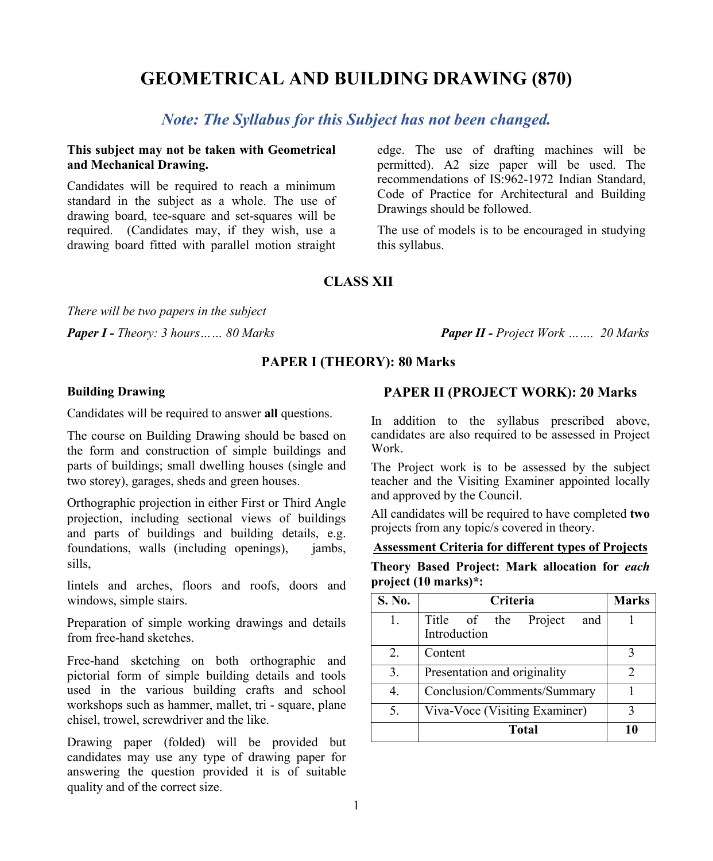# **GEOMETRICAL AND BUILDING DRAWING (870)**

# *Note: The Syllabus for this Subject has not been changed.*

### **This subject may not be taken with Geometrical and Mechanical Drawing.**

Candidates will be required to reach a minimum standard in the subject as a whole. The use of drawing board, tee-square and set-squares will be required. (Candidates may, if they wish, use a drawing board fitted with parallel motion straight

edge. The use of drafting machines will be permitted). A2 size paper will be used. The recommendations of IS:962-1972 Indian Standard, Code of Practice for Architectural and Building Drawings should be followed.

The use of models is to be encouraged in studying this syllabus.

# **CLASS XII**

*There will be two papers in the subject*

*Paper I - Theory: 3 hours…… 80 Marks Paper II - Project Work ……. 20 Marks*

#### **PAPER I (THEORY): 80 Marks**

#### **Building Drawing**

Candidates will be required to answer **all** questions.

The course on Building Drawing should be based on the form and construction of simple buildings and parts of buildings; small dwelling houses (single and two storey), garages, sheds and green houses.

Orthographic projection in either First or Third Angle projection, including sectional views of buildings and parts of buildings and building details, e.g. foundations, walls (including openings), jambs, sills,

lintels and arches, floors and roofs, doors and windows, simple stairs.

Preparation of simple working drawings and details from free-hand sketches.

Free-hand sketching on both orthographic and pictorial form of simple building details and tools used in the various building crafts and school workshops such as hammer, mallet, tri - square, plane chisel, trowel, screwdriver and the like.

Drawing paper (folded) will be provided but candidates may use any type of drawing paper for answering the question provided it is of suitable quality and of the correct size.

### **PAPER II (PROJECT WORK): 20 Marks**

In addition to the syllabus prescribed above, candidates are also required to be assessed in Project Work.

The Project work is to be assessed by the subject teacher and the Visiting Examiner appointed locally and approved by the Council.

All candidates will be required to have completed **two** projects from any topic/s covered in theory.

#### **Assessment Criteria for different types of Projects**

**Theory Based Project: Mark allocation for** *each* **project (10 marks)\*:**

| S. No. | Criteria                                    | <b>Marks</b>                |  |
|--------|---------------------------------------------|-----------------------------|--|
| 1.     | Title of the Project<br>and<br>Introduction |                             |  |
| 2.     | Content                                     |                             |  |
| 3.     | Presentation and originality                | $\mathcal{D}_{\mathcal{A}}$ |  |
| 4.     | Conclusion/Comments/Summary                 |                             |  |
| 5.     | Viva-Voce (Visiting Examiner)               |                             |  |
|        | <b>Total</b>                                |                             |  |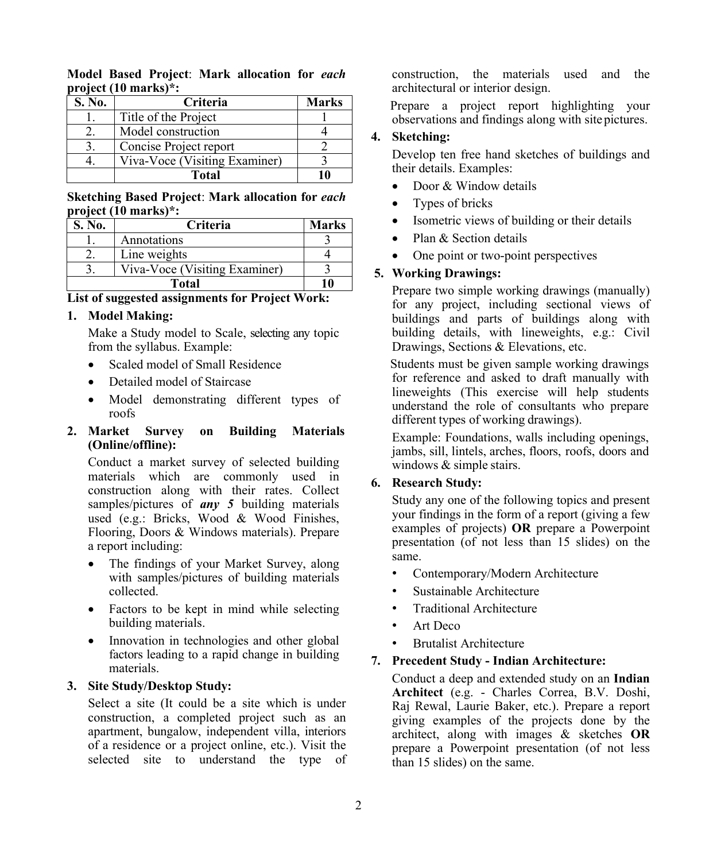**Model Based Project**: **Mark allocation for** *each* **project (10 marks)\*:**

| S. No. | Criteria                      | <b>Marks</b> |
|--------|-------------------------------|--------------|
|        | Title of the Project          |              |
|        | Model construction            |              |
|        | Concise Project report        |              |
|        | Viva-Voce (Visiting Examiner) |              |
|        | <b>Total</b>                  |              |

#### **Sketching Based Project**: **Mark allocation for** *each* **project (10 marks)\*:**

| S. No. | Criteria                      | <b>Marks</b> |
|--------|-------------------------------|--------------|
|        | Annotations                   |              |
|        | Line weights                  |              |
|        | Viva-Voce (Visiting Examiner) |              |
|        |                               |              |

**List of suggested assignments for Project Work:**

# **1. Model Making:**

Make a Study model to Scale, selecting any topic from the syllabus. Example:

- Scaled model of Small Residence
- Detailed model of Staircase
- Model demonstrating different types of roofs

### **2. Market Survey on Building Materials (Online/offline):**

Conduct a market survey of selected building materials which are commonly used in construction along with their rates. Collect samples/pictures of *any 5* building materials used (e.g.: Bricks, Wood & Wood Finishes, Flooring, Doors & Windows materials). Prepare a report including:

- The findings of your Market Survey, along with samples/pictures of building materials collected.
- Factors to be kept in mind while selecting building materials.
- Innovation in technologies and other global factors leading to a rapid change in building materials.

# **3. Site Study/Desktop Study:**

Select a site (It could be a site which is under construction, a completed project such as an apartment, bungalow, independent villa, interiors of a residence or a project online, etc.). Visit the selected site to understand the type of construction, the materials used and the architectural or interior design.

 Prepare a project report highlighting your observations and findings along with sitepictures.

### **4. Sketching:**

Develop ten free hand sketches of buildings and their details. Examples:

- Door & Window details
- Types of bricks
- Isometric views of building or their details
- Plan & Section details
- One point or two-point perspectives

# **5. Working Drawings:**

Prepare two simple working drawings (manually) for any project, including sectional views of buildings and parts of buildings along with building details, with lineweights, e.g.: Civil Drawings, Sections & Elevations, etc.

 Students must be given sample working drawings for reference and asked to draft manually with lineweights (This exercise will help students understand the role of consultants who prepare different types of working drawings).

Example: Foundations, walls including openings, jambs, sill, lintels, arches, floors, roofs, doors and windows & simple stairs.

# **6. Research Study:**

Study any one of the following topics and present your findings in the form of a report (giving a few examples of projects) **OR** prepare a Powerpoint presentation (of not less than 15 slides) on the same.

- Contemporary/Modern Architecture
- Sustainable Architecture
- Traditional Architecture
- Art Deco
- Brutalist Architecture

#### **7. Precedent Study - Indian Architecture:**

Conduct a deep and extended study on an **Indian Architect** (e.g. - Charles Correa, B.V. Doshi, Raj Rewal, Laurie Baker, etc.). Prepare a report giving examples of the projects done by the architect, along with images & sketches **OR** prepare a Powerpoint presentation (of not less than 15 slides) on the same.